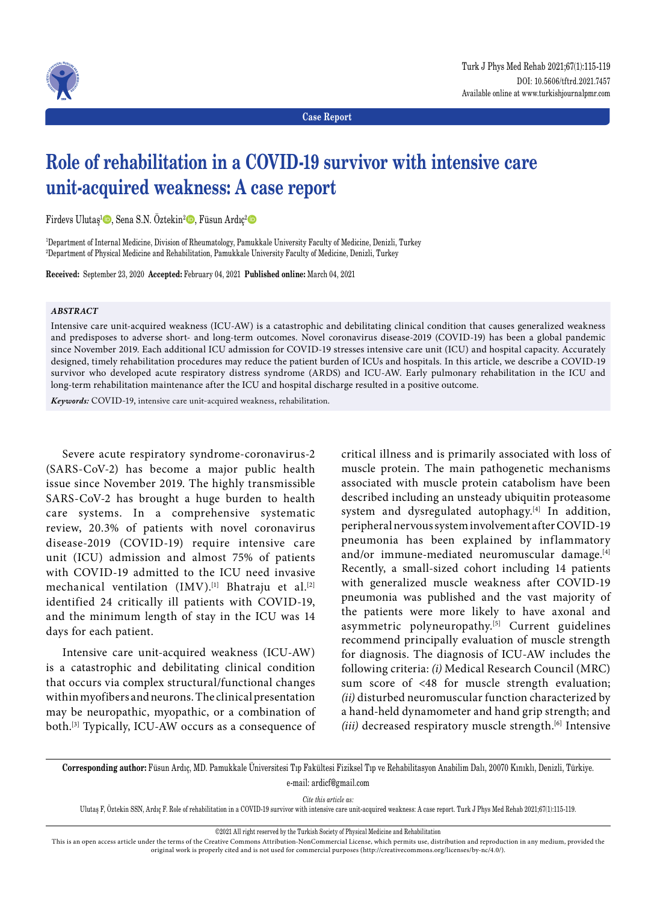

**Case Report**

# **Role of rehabilitation in a COVID-19 survivor with intensive care unit-acquired weakness: A case report**

Firdevs Ulutaş<sup>ı</sup> D, Sena S.N. Öztekin<sup>2</sup> D, Füsun Ardıç<sup>2</sup> D

1 Department of Internal Medicine, Division of Rheumatology, Pamukkale University Faculty of Medicine, Denizli, Turkey 2 Department of Physical Medicine and Rehabilitation, Pamukkale University Faculty of Medicine, Denizli, Turkey

**Received:** September 23, 2020 **Accepted:** February 04, 2021 **Published online:** March 04, 2021

# *ABSTRACT*

Intensive care unit-acquired weakness (ICU-AW) is a catastrophic and debilitating clinical condition that causes generalized weakness and predisposes to adverse short- and long-term outcomes. Novel coronavirus disease-2019 (COVID-19) has been a global pandemic since November 2019. Each additional ICU admission for COVID-19 stresses intensive care unit (ICU) and hospital capacity. Accurately designed, timely rehabilitation procedures may reduce the patient burden of ICUs and hospitals. In this article, we describe a COVID-19 survivor who developed acute respiratory distress syndrome (ARDS) and ICU-AW. Early pulmonary rehabilitation in the ICU and long-term rehabilitation maintenance after the ICU and hospital discharge resulted in a positive outcome.

*Keywords:* COVID-19, intensive care unit-acquired weakness, rehabilitation.

Severe acute respiratory syndrome-coronavirus-2 (SARS-CoV-2) has become a major public health issue since November 2019. The highly transmissible SARS-CoV-2 has brought a huge burden to health care systems. In a comprehensive systematic review, 20.3% of patients with novel coronavirus disease-2019 (COVID-19) require intensive care unit (ICU) admission and almost 75% of patients with COVID-19 admitted to the ICU need invasive mechanical ventilation (IMV).<sup>[1]</sup> Bhatraju et al.<sup>[2]</sup> identified 24 critically ill patients with COVID-19, and the minimum length of stay in the ICU was 14 days for each patient.

Intensive care unit-acquired weakness (ICU-AW) is a catastrophic and debilitating clinical condition that occurs via complex structural/functional changes within myofibers and neurons. The clinical presentation may be neuropathic, myopathic, or a combination of both.[3] Typically, ICU-AW occurs as a consequence of critical illness and is primarily associated with loss of muscle protein. The main pathogenetic mechanisms associated with muscle protein catabolism have been described including an unsteady ubiquitin proteasome system and dysregulated autophagy.<sup>[4]</sup> In addition, peripheral nervous system involvement after COVID-19 pneumonia has been explained by inflammatory and/or immune-mediated neuromuscular damage.<sup>[4]</sup> Recently, a small-sized cohort including 14 patients with generalized muscle weakness after COVID-19 pneumonia was published and the vast majority of the patients were more likely to have axonal and asymmetric polyneuropathy.<sup>[5]</sup> Current guidelines recommend principally evaluation of muscle strength for diagnosis. The diagnosis of ICU-AW includes the following criteria: *(i)* Medical Research Council (MRC) sum score of <48 for muscle strength evaluation; *(ii)* disturbed neuromuscular function characterized by a hand-held dynamometer and hand grip strength; and *(iii)* decreased respiratory muscle strength.<sup>[6]</sup> Intensive

**Corresponding author:** Füsun Ardıç, MD. Pamukkale Üniversitesi Tıp Fakültesi Fiziksel Tıp ve Rehabilitasyon Anabilim Dalı, 20070 Kınıklı, Denizli, Türkiye. e-mail: ardicf@gmail.com

*Cite this article as:*

Ulutaş F, Öztekin SSN, Ardıç F. Role of rehabilitation in a COVID-19 survivor with intensive care unit-acquired weakness: A case report. Turk J Phys Med Rehab 2021;67(1):115-119.

This is an open access article under the terms of the Creative Commons Attribution-NonCommercial License, which permits use, distribution and reproduction in any medium, provided the original work is properly cited and is not used for commercial purposes (http://creativecommons.org/licenses/by-nc/4.0/).

<sup>©2021</sup> All right reserved by the Turkish Society of Physical Medicine and Rehabilitation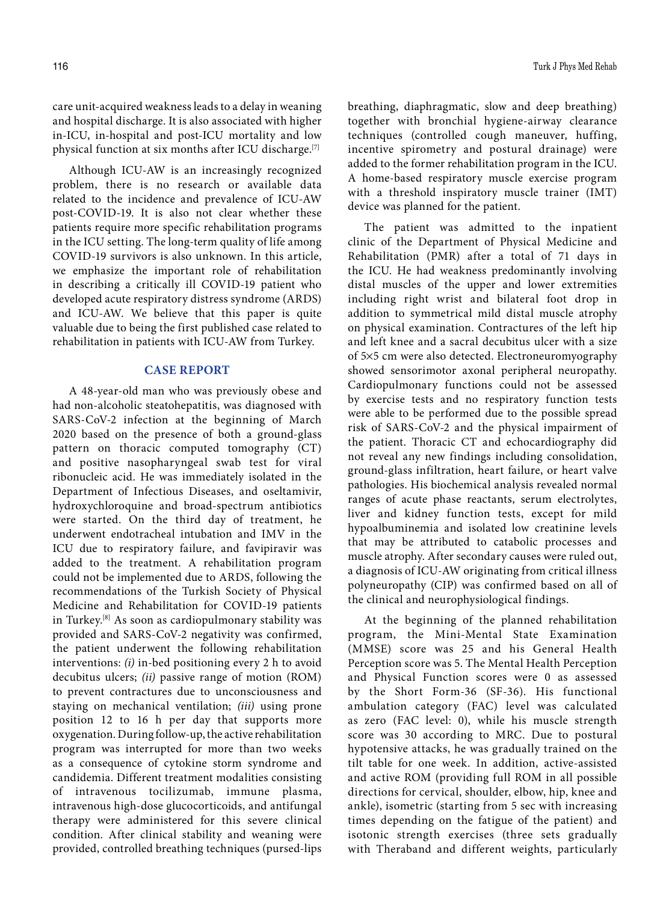care unit-acquired weakness leads to a delay in weaning and hospital discharge. It is also associated with higher in-ICU, in-hospital and post-ICU mortality and low physical function at six months after ICU discharge.[7]

Although ICU-AW is an increasingly recognized problem, there is no research or available data related to the incidence and prevalence of ICU-AW post-COVID-19. It is also not clear whether these patients require more specific rehabilitation programs in the ICU setting. The long-term quality of life among COVID-19 survivors is also unknown. In this article, we emphasize the important role of rehabilitation in describing a critically ill COVID-19 patient who developed acute respiratory distress syndrome (ARDS) and ICU-AW. We believe that this paper is quite valuable due to being the first published case related to rehabilitation in patients with ICU-AW from Turkey.

## **CASE REPORT**

A 48-year-old man who was previously obese and had non-alcoholic steatohepatitis, was diagnosed with SARS-CoV-2 infection at the beginning of March 2020 based on the presence of both a ground-glass pattern on thoracic computed tomography (CT) and positive nasopharyngeal swab test for viral ribonucleic acid. He was immediately isolated in the Department of Infectious Diseases, and oseltamivir, hydroxychloroquine and broad-spectrum antibiotics were started. On the third day of treatment, he underwent endotracheal intubation and IMV in the ICU due to respiratory failure, and favipiravir was added to the treatment. A rehabilitation program could not be implemented due to ARDS, following the recommendations of the Turkish Society of Physical Medicine and Rehabilitation for COVID-19 patients in Turkey.[8] As soon as cardiopulmonary stability was provided and SARS-CoV-2 negativity was confirmed, the patient underwent the following rehabilitation interventions: *(i)* in-bed positioning every 2 h to avoid decubitus ulcers; *(ii)* passive range of motion (ROM) to prevent contractures due to unconsciousness and staying on mechanical ventilation; *(iii)* using prone position 12 to 16 h per day that supports more oxygenation. During follow-up, the active rehabilitation program was interrupted for more than two weeks as a consequence of cytokine storm syndrome and candidemia. Different treatment modalities consisting of intravenous tocilizumab, immune plasma, intravenous high-dose glucocorticoids, and antifungal therapy were administered for this severe clinical condition. After clinical stability and weaning were provided, controlled breathing techniques (pursed-lips breathing, diaphragmatic, slow and deep breathing) together with bronchial hygiene-airway clearance techniques (controlled cough maneuver, huffing, incentive spirometry and postural drainage) were added to the former rehabilitation program in the ICU. A home-based respiratory muscle exercise program with a threshold inspiratory muscle trainer (IMT) device was planned for the patient.

The patient was admitted to the inpatient clinic of the Department of Physical Medicine and Rehabilitation (PMR) after a total of 71 days in the ICU. He had weakness predominantly involving distal muscles of the upper and lower extremities including right wrist and bilateral foot drop in addition to symmetrical mild distal muscle atrophy on physical examination. Contractures of the left hip and left knee and a sacral decubitus ulcer with a size of 5¥5 cm were also detected. Electroneuromyography showed sensorimotor axonal peripheral neuropathy. Cardiopulmonary functions could not be assessed by exercise tests and no respiratory function tests were able to be performed due to the possible spread risk of SARS-CoV-2 and the physical impairment of the patient. Thoracic CT and echocardiography did not reveal any new findings including consolidation, ground-glass infiltration, heart failure, or heart valve pathologies. His biochemical analysis revealed normal ranges of acute phase reactants, serum electrolytes, liver and kidney function tests, except for mild hypoalbuminemia and isolated low creatinine levels that may be attributed to catabolic processes and muscle atrophy. After secondary causes were ruled out, a diagnosis of ICU-AW originating from critical illness polyneuropathy (CIP) was confirmed based on all of the clinical and neurophysiological findings.

At the beginning of the planned rehabilitation program, the Mini-Mental State Examination (MMSE) score was 25 and his General Health Perception score was 5. The Mental Health Perception and Physical Function scores were 0 as assessed by the Short Form-36 (SF-36). His functional ambulation category (FAC) level was calculated as zero (FAC level: 0), while his muscle strength score was 30 according to MRC. Due to postural hypotensive attacks, he was gradually trained on the tilt table for one week. In addition, active-assisted and active ROM (providing full ROM in all possible directions for cervical, shoulder, elbow, hip, knee and ankle), isometric (starting from 5 sec with increasing times depending on the fatigue of the patient) and isotonic strength exercises (three sets gradually with Theraband and different weights, particularly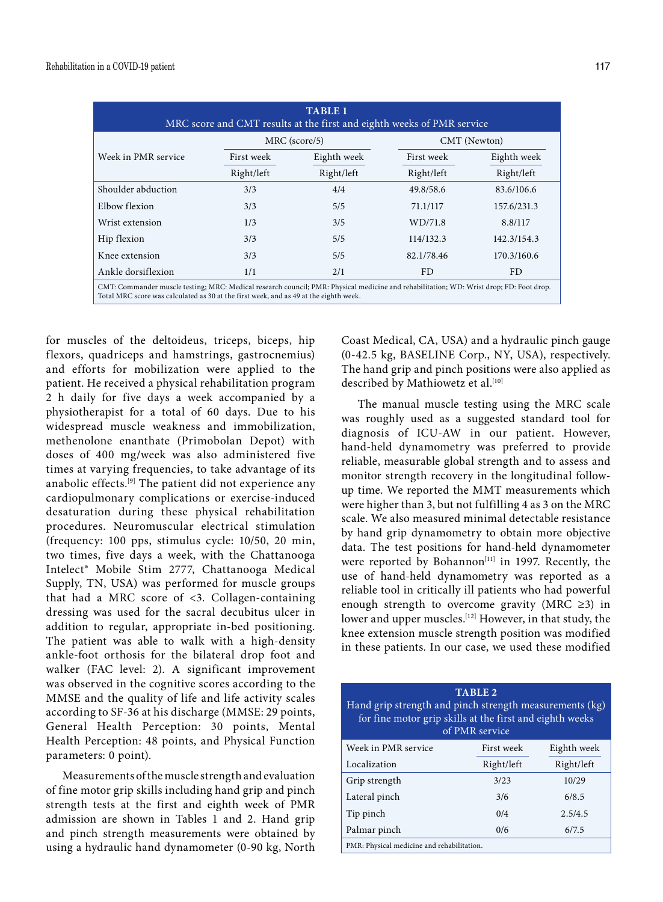| <b>TABLE 1</b><br>MRC score and CMT results at the first and eighth weeks of PMR service                                                                                                                                         |               |             |              |             |  |
|----------------------------------------------------------------------------------------------------------------------------------------------------------------------------------------------------------------------------------|---------------|-------------|--------------|-------------|--|
|                                                                                                                                                                                                                                  | MRC (score/5) |             | CMT (Newton) |             |  |
| Week in PMR service                                                                                                                                                                                                              | First week    | Eighth week | First week   | Eighth week |  |
|                                                                                                                                                                                                                                  | Right/left    | Right/left  | Right/left   | Right/left  |  |
| Shoulder abduction                                                                                                                                                                                                               | 3/3           | 4/4         | 49.8/58.6    | 83.6/106.6  |  |
| Elbow flexion                                                                                                                                                                                                                    | 3/3           | 5/5         | 71.1/117     | 157.6/231.3 |  |
| Wrist extension                                                                                                                                                                                                                  | 1/3           | 3/5         | WD/71.8      | 8.8/117     |  |
| Hip flexion                                                                                                                                                                                                                      | 3/3           | 5/5         | 114/132.3    | 142.3/154.3 |  |
| Knee extension                                                                                                                                                                                                                   | 3/3           | 5/5         | 82.1/78.46   | 170.3/160.6 |  |
| Ankle dorsiflexion                                                                                                                                                                                                               | 1/1           | 2/1         | FD.          | FD.         |  |
| CMT: Commander muscle testing; MRC: Medical research council; PMR: Physical medicine and rehabilitation; WD: Wrist drop; FD: Foot drop.<br>Total MRC score was calculated as 30 at the first week, and as 49 at the eighth week. |               |             |              |             |  |

for muscles of the deltoideus, triceps, biceps, hip flexors, quadriceps and hamstrings, gastrocnemius) and efforts for mobilization were applied to the patient. He received a physical rehabilitation program 2 h daily for five days a week accompanied by a physiotherapist for a total of 60 days. Due to his widespread muscle weakness and immobilization, methenolone enanthate (Primobolan Depot) with doses of 400 mg/week was also administered five times at varying frequencies, to take advantage of its anabolic effects.[9] The patient did not experience any cardiopulmonary complications or exercise-induced desaturation during these physical rehabilitation procedures. Neuromuscular electrical stimulation (frequency: 100 pps, stimulus cycle: 10/50, 20 min, two times, five days a week, with the Chattanooga Intelect® Mobile Stim 2777, Chattanooga Medical Supply, TN, USA) was performed for muscle groups that had a MRC score of <3. Collagen-containing dressing was used for the sacral decubitus ulcer in addition to regular, appropriate in-bed positioning. The patient was able to walk with a high-density ankle-foot orthosis for the bilateral drop foot and walker (FAC level: 2). A significant improvement was observed in the cognitive scores according to the MMSE and the quality of life and life activity scales according to SF-36 at his discharge (MMSE: 29 points, General Health Perception: 30 points, Mental Health Perception: 48 points, and Physical Function parameters: 0 point).

Measurements of the muscle strength and evaluation of fine motor grip skills including hand grip and pinch strength tests at the first and eighth week of PMR admission are shown in Tables 1 and 2. Hand grip and pinch strength measurements were obtained by using a hydraulic hand dynamometer (0-90 kg, North Coast Medical, CA, USA) and a hydraulic pinch gauge (0-42.5 kg, BASELINE Corp., NY, USA), respectively. The hand grip and pinch positions were also applied as described by Mathiowetz et al.<sup>[10]</sup>

The manual muscle testing using the MRC scale was roughly used as a suggested standard tool for diagnosis of ICU-AW in our patient. However, hand-held dynamometry was preferred to provide reliable, measurable global strength and to assess and monitor strength recovery in the longitudinal followup time. We reported the MMT measurements which were higher than 3, but not fulfilling 4 as 3 on the MRC scale. We also measured minimal detectable resistance by hand grip dynamometry to obtain more objective data. The test positions for hand-held dynamometer were reported by Bohannon<sup>[11]</sup> in 1997. Recently, the use of hand-held dynamometry was reported as a reliable tool in critically ill patients who had powerful enough strength to overcome gravity (MRC ≥3) in lower and upper muscles.<sup>[12]</sup> However, in that study, the knee extension muscle strength position was modified in these patients. In our case, we used these modified

| <b>TABLE 2</b><br>Hand grip strength and pinch strength measurements (kg)<br>for fine motor grip skills at the first and eighth weeks<br>of PMR service |            |             |  |  |
|---------------------------------------------------------------------------------------------------------------------------------------------------------|------------|-------------|--|--|
| Week in PMR service                                                                                                                                     | First week | Eighth week |  |  |
| Localization                                                                                                                                            | Right/left | Right/left  |  |  |
| Grip strength                                                                                                                                           | 3/23       | 10/29       |  |  |
| Lateral pinch                                                                                                                                           | 3/6        | 6/8.5       |  |  |
| Tip pinch                                                                                                                                               | 0/4        | 2.5/4.5     |  |  |
| Palmar pinch                                                                                                                                            | 0/6        | 6/7.5       |  |  |
| PMR: Physical medicine and rehabilitation.                                                                                                              |            |             |  |  |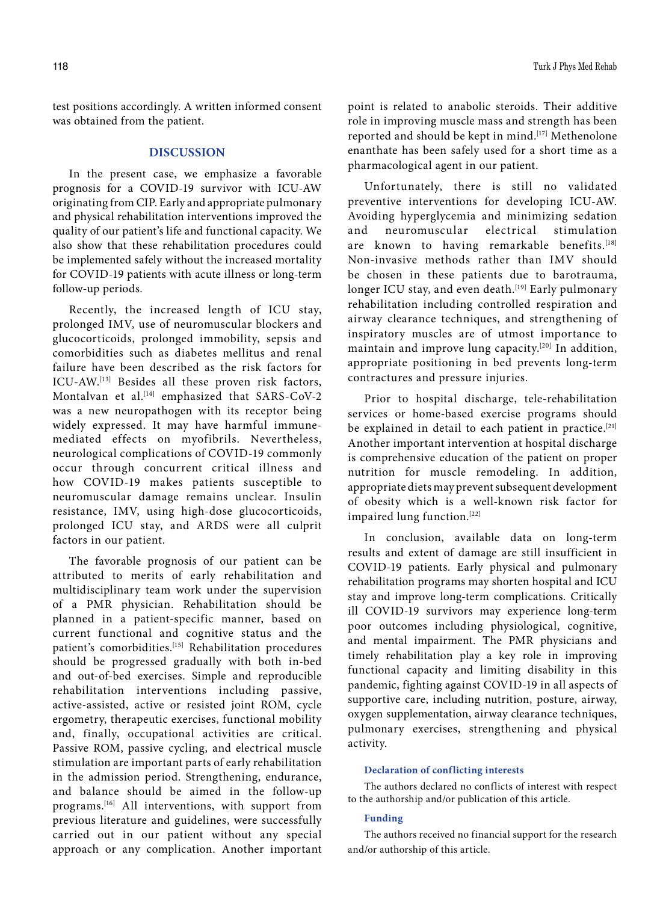test positions accordingly. A written informed consent was obtained from the patient.

# **DISCUSSION**

In the present case, we emphasize a favorable prognosis for a COVID-19 survivor with ICU-AW originating from CIP. Early and appropriate pulmonary and physical rehabilitation interventions improved the quality of our patient's life and functional capacity. We also show that these rehabilitation procedures could be implemented safely without the increased mortality for COVID-19 patients with acute illness or long-term follow-up periods.

Recently, the increased length of ICU stay, prolonged IMV, use of neuromuscular blockers and glucocorticoids, prolonged immobility, sepsis and comorbidities such as diabetes mellitus and renal failure have been described as the risk factors for ICU-AW.[13] Besides all these proven risk factors, Montalvan et al.<sup>[14]</sup> emphasized that SARS-CoV-2 was a new neuropathogen with its receptor being widely expressed. It may have harmful immunemediated effects on myofibrils. Nevertheless, neurological complications of COVID-19 commonly occur through concurrent critical illness and how COVID-19 makes patients susceptible to neuromuscular damage remains unclear. Insulin resistance, IMV, using high-dose glucocorticoids, prolonged ICU stay, and ARDS were all culprit factors in our patient.

The favorable prognosis of our patient can be attributed to merits of early rehabilitation and multidisciplinary team work under the supervision of a PMR physician. Rehabilitation should be planned in a patient-specific manner, based on current functional and cognitive status and the patient's comorbidities.<sup>[15]</sup> Rehabilitation procedures should be progressed gradually with both in-bed and out-of-bed exercises. Simple and reproducible rehabilitation interventions including passive, active-assisted, active or resisted joint ROM, cycle ergometry, therapeutic exercises, functional mobility and, finally, occupational activities are critical. Passive ROM, passive cycling, and electrical muscle stimulation are important parts of early rehabilitation in the admission period. Strengthening, endurance, and balance should be aimed in the follow-up programs.[16] All interventions, with support from previous literature and guidelines, were successfully carried out in our patient without any special approach or any complication. Another important point is related to anabolic steroids. Their additive role in improving muscle mass and strength has been reported and should be kept in mind.<sup>[17]</sup> Methenolone enanthate has been safely used for a short time as a pharmacological agent in our patient.

Unfortunately, there is still no validated preventive interventions for developing ICU-AW. Avoiding hyperglycemia and minimizing sedation and neuromuscular electrical stimulation are known to having remarkable benefits.[18] Non-invasive methods rather than IMV should be chosen in these patients due to barotrauma, longer ICU stay, and even death.<sup>[19]</sup> Early pulmonary rehabilitation including controlled respiration and airway clearance techniques, and strengthening of inspiratory muscles are of utmost importance to maintain and improve lung capacity.[20] In addition, appropriate positioning in bed prevents long-term contractures and pressure injuries.

Prior to hospital discharge, tele-rehabilitation services or home-based exercise programs should be explained in detail to each patient in practice.<sup>[21]</sup> Another important intervention at hospital discharge is comprehensive education of the patient on proper nutrition for muscle remodeling. In addition, appropriate diets may prevent subsequent development of obesity which is a well-known risk factor for impaired lung function.[22]

In conclusion, available data on long-term results and extent of damage are still insufficient in COVID-19 patients. Early physical and pulmonary rehabilitation programs may shorten hospital and ICU stay and improve long-term complications. Critically ill COVID-19 survivors may experience long-term poor outcomes including physiological, cognitive, and mental impairment. The PMR physicians and timely rehabilitation play a key role in improving functional capacity and limiting disability in this pandemic, fighting against COVID-19 in all aspects of supportive care, including nutrition, posture, airway, oxygen supplementation, airway clearance techniques, pulmonary exercises, strengthening and physical activity.

### **Declaration of conflicting interests**

The authors declared no conflicts of interest with respect to the authorship and/or publication of this article.

#### **Funding**

The authors received no financial support for the research and/or authorship of this article.